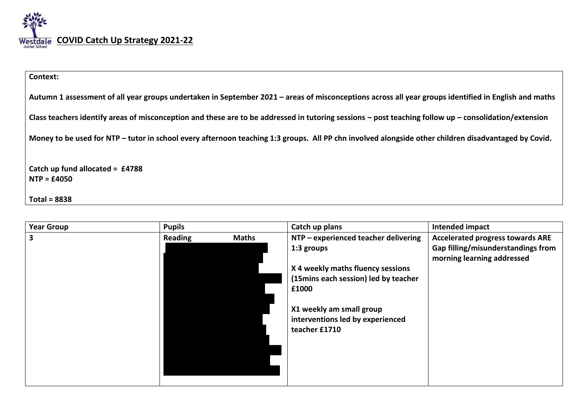

| Context:                                                                                                                                                  |
|-----------------------------------------------------------------------------------------------------------------------------------------------------------|
| Autumn 1 assessment of all year groups undertaken in September 2021 – areas of misconceptions across all year groups identified in English and maths      |
| Class teachers identify areas of misconception and these are to be addressed in tutoring sessions $-$ post teaching follow up $-$ consolidation/extension |
| Money to be used for NTP - tutor in school every afternoon teaching 1:3 groups. All PP chn involved alongside other children disadvantaged by Covid.      |
| Catch up fund allocated = $£4788$<br>$NTP = £4050$                                                                                                        |
| $Total = 8838$                                                                                                                                            |

| <b>Year Group</b> | <b>Pupils</b> |              | Catch up plans                                                                | Intended impact                                                  |
|-------------------|---------------|--------------|-------------------------------------------------------------------------------|------------------------------------------------------------------|
| 3                 | Reading       | <b>Maths</b> | NTP - experienced teacher delivering                                          | <b>Accelerated progress towards ARE</b>                          |
|                   |               |              | 1:3 groups                                                                    | Gap filling/misunderstandings from<br>morning learning addressed |
|                   |               |              | X 4 weekly maths fluency sessions                                             |                                                                  |
|                   |               |              | (15mins each session) led by teacher                                          |                                                                  |
|                   |               |              | £1000                                                                         |                                                                  |
|                   |               |              | X1 weekly am small group<br>interventions led by experienced<br>teacher £1710 |                                                                  |
|                   |               |              |                                                                               |                                                                  |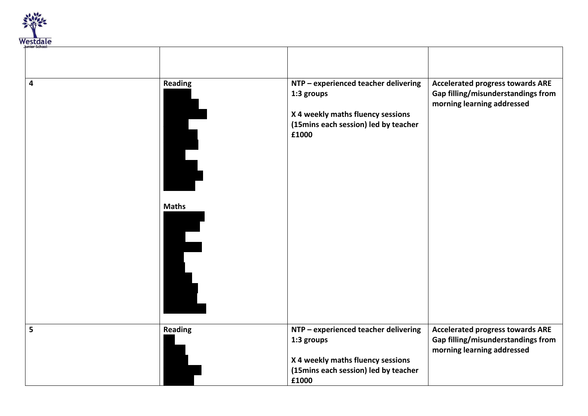

| 4 | <b>Reading</b> | NTP - experienced teacher delivering<br>1:3 groups<br>X 4 weekly maths fluency sessions<br>(15mins each session) led by teacher<br>£1000 | <b>Accelerated progress towards ARE</b><br>Gap filling/misunderstandings from<br>morning learning addressed |
|---|----------------|------------------------------------------------------------------------------------------------------------------------------------------|-------------------------------------------------------------------------------------------------------------|
|   | <b>Maths</b>   |                                                                                                                                          |                                                                                                             |
| 5 | <b>Reading</b> | NTP - experienced teacher delivering<br>1:3 groups<br>X 4 weekly maths fluency sessions<br>(15mins each session) led by teacher<br>£1000 | <b>Accelerated progress towards ARE</b><br>Gap filling/misunderstandings from<br>morning learning addressed |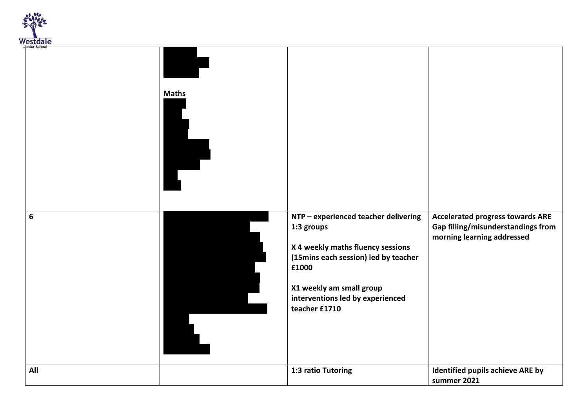

| <b>Junior School</b> |              |                                                                                                                                                                                                                           |                                                                                                             |
|----------------------|--------------|---------------------------------------------------------------------------------------------------------------------------------------------------------------------------------------------------------------------------|-------------------------------------------------------------------------------------------------------------|
|                      | <b>Maths</b> |                                                                                                                                                                                                                           |                                                                                                             |
| 6                    |              | NTP - experienced teacher delivering<br>1:3 groups<br>X 4 weekly maths fluency sessions<br>(15mins each session) led by teacher<br>£1000<br>X1 weekly am small group<br>interventions led by experienced<br>teacher £1710 | <b>Accelerated progress towards ARE</b><br>Gap filling/misunderstandings from<br>morning learning addressed |
| All                  |              | 1:3 ratio Tutoring                                                                                                                                                                                                        | Identified pupils achieve ARE by<br>summer 2021                                                             |